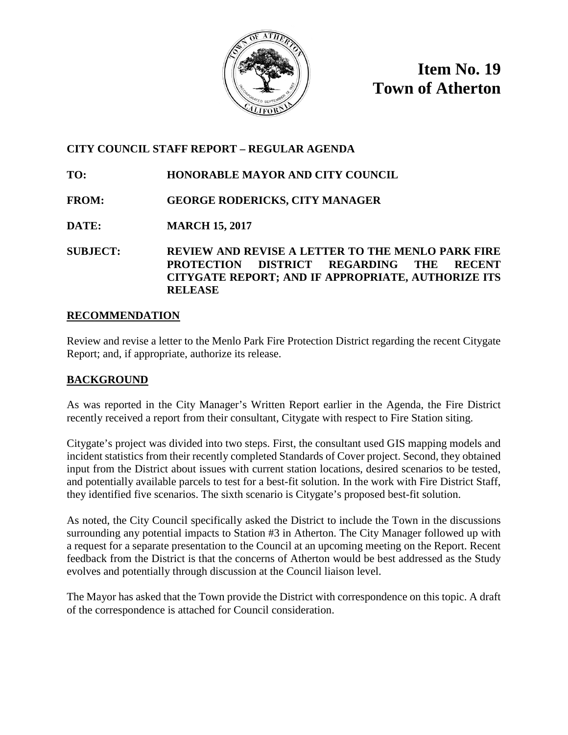

**Item No. 19 Town of Atherton**

## **CITY COUNCIL STAFF REPORT – REGULAR AGENDA**

**TO: HONORABLE MAYOR AND CITY COUNCIL**

**FROM: GEORGE RODERICKS, CITY MANAGER**

**DATE: MARCH 15, 2017**

**SUBJECT: REVIEW AND REVISE A LETTER TO THE MENLO PARK FIRE PROTECTION DISTRICT REGARDING THE RECENT CITYGATE REPORT; AND IF APPROPRIATE, AUTHORIZE ITS RELEASE**

### **RECOMMENDATION**

Review and revise a letter to the Menlo Park Fire Protection District regarding the recent Citygate Report; and, if appropriate, authorize its release.

### **BACKGROUND**

As was reported in the City Manager's Written Report earlier in the Agenda, the Fire District recently received a report from their consultant, Citygate with respect to Fire Station siting.

Citygate's project was divided into two steps. First, the consultant used GIS mapping models and incident statistics from their recently completed Standards of Cover project. Second, they obtained input from the District about issues with current station locations, desired scenarios to be tested, and potentially available parcels to test for a best-fit solution. In the work with Fire District Staff, they identified five scenarios. The sixth scenario is Citygate's proposed best-fit solution.

As noted, the City Council specifically asked the District to include the Town in the discussions surrounding any potential impacts to Station #3 in Atherton. The City Manager followed up with a request for a separate presentation to the Council at an upcoming meeting on the Report. Recent feedback from the District is that the concerns of Atherton would be best addressed as the Study evolves and potentially through discussion at the Council liaison level.

The Mayor has asked that the Town provide the District with correspondence on this topic. A draft of the correspondence is attached for Council consideration.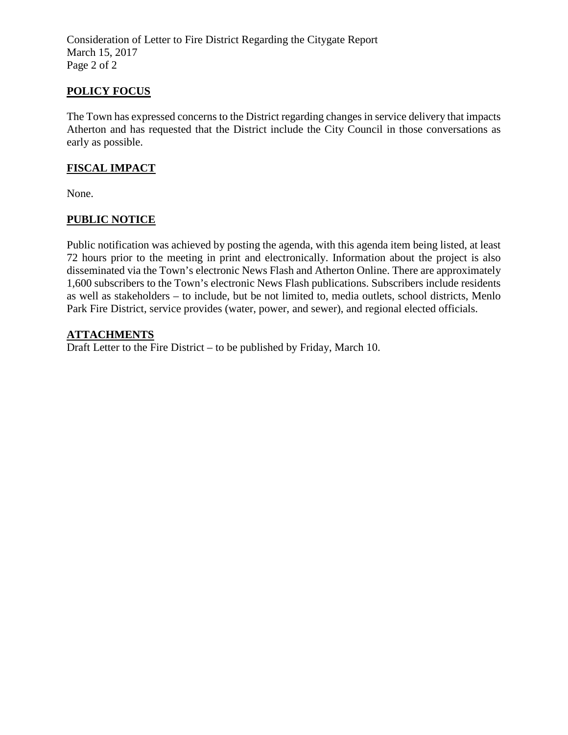Consideration of Letter to Fire District Regarding the Citygate Report March 15, 2017 Page 2 of 2

## **POLICY FOCUS**

The Town has expressed concerns to the District regarding changes in service delivery that impacts Atherton and has requested that the District include the City Council in those conversations as early as possible.

## **FISCAL IMPACT**

None.

## **PUBLIC NOTICE**

Public notification was achieved by posting the agenda, with this agenda item being listed, at least 72 hours prior to the meeting in print and electronically. Information about the project is also disseminated via the Town's electronic News Flash and Atherton Online. There are approximately 1,600 subscribers to the Town's electronic News Flash publications. Subscribers include residents as well as stakeholders – to include, but be not limited to, media outlets, school districts, Menlo Park Fire District, service provides (water, power, and sewer), and regional elected officials.

### **ATTACHMENTS**

Draft Letter to the Fire District – to be published by Friday, March 10.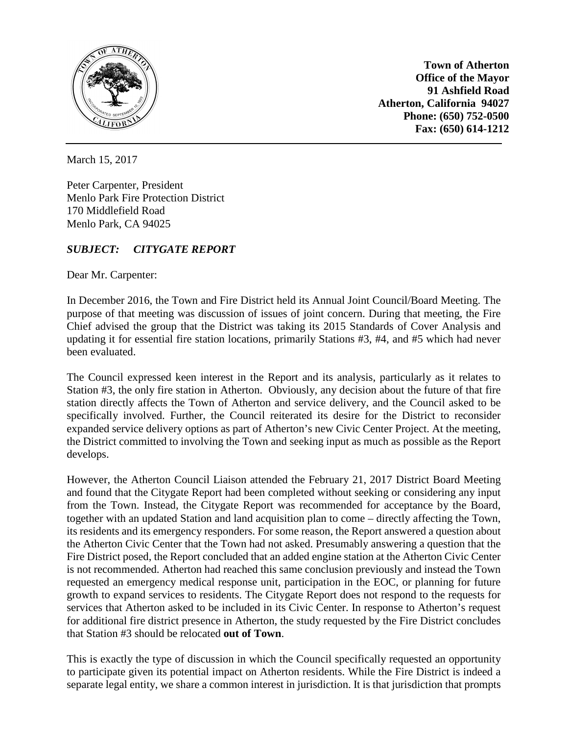

**Town of Atherton Office of the Mayor 91 Ashfield Road Atherton, California 94027 Phone: (650) 752-0500 Fax: (650) 614-1212**

March 15, 2017

Peter Carpenter, President Menlo Park Fire Protection District 170 Middlefield Road Menlo Park, CA 94025

# *SUBJECT: CITYGATE REPORT*

Dear Mr. Carpenter:

In December 2016, the Town and Fire District held its Annual Joint Council/Board Meeting. The purpose of that meeting was discussion of issues of joint concern. During that meeting, the Fire Chief advised the group that the District was taking its 2015 Standards of Cover Analysis and updating it for essential fire station locations, primarily Stations #3, #4, and #5 which had never been evaluated.

The Council expressed keen interest in the Report and its analysis, particularly as it relates to Station #3, the only fire station in Atherton. Obviously, any decision about the future of that fire station directly affects the Town of Atherton and service delivery, and the Council asked to be specifically involved. Further, the Council reiterated its desire for the District to reconsider expanded service delivery options as part of Atherton's new Civic Center Project. At the meeting, the District committed to involving the Town and seeking input as much as possible as the Report develops.

However, the Atherton Council Liaison attended the February 21, 2017 District Board Meeting and found that the Citygate Report had been completed without seeking or considering any input from the Town. Instead, the Citygate Report was recommended for acceptance by the Board, together with an updated Station and land acquisition plan to come – directly affecting the Town, its residents and its emergency responders. For some reason, the Report answered a question about the Atherton Civic Center that the Town had not asked. Presumably answering a question that the Fire District posed, the Report concluded that an added engine station at the Atherton Civic Center is not recommended. Atherton had reached this same conclusion previously and instead the Town requested an emergency medical response unit, participation in the EOC, or planning for future growth to expand services to residents. The Citygate Report does not respond to the requests for services that Atherton asked to be included in its Civic Center. In response to Atherton's request for additional fire district presence in Atherton, the study requested by the Fire District concludes that Station #3 should be relocated **out of Town**.

This is exactly the type of discussion in which the Council specifically requested an opportunity to participate given its potential impact on Atherton residents. While the Fire District is indeed a separate legal entity, we share a common interest in jurisdiction. It is that jurisdiction that prompts